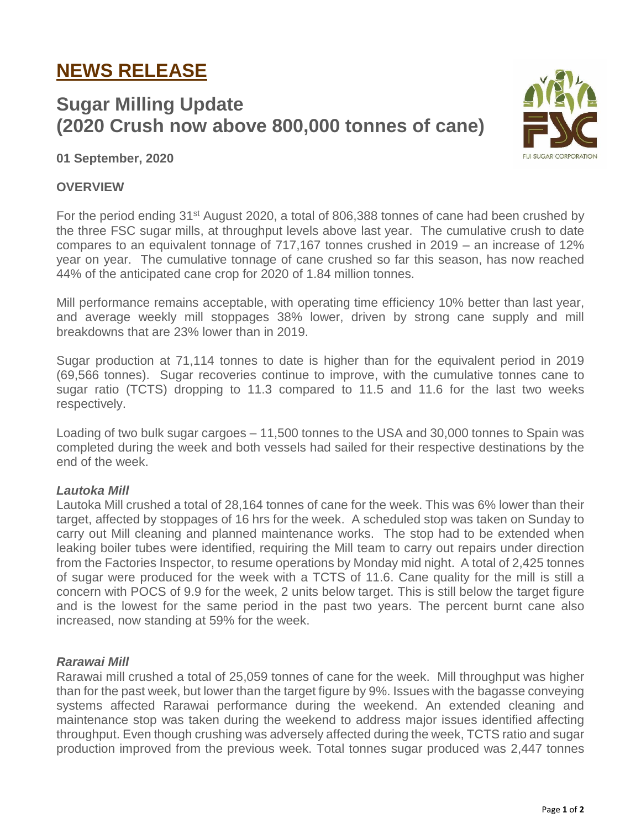# **NEWS RELEASE**

## **Sugar Milling Update (2020 Crush now above 800,000 tonnes of cane)**



**01 September, 2020**

### **OVERVIEW**

For the period ending 31<sup>st</sup> August 2020, a total of 806,388 tonnes of cane had been crushed by the three FSC sugar mills, at throughput levels above last year. The cumulative crush to date compares to an equivalent tonnage of 717,167 tonnes crushed in 2019 – an increase of 12% year on year. The cumulative tonnage of cane crushed so far this season, has now reached 44% of the anticipated cane crop for 2020 of 1.84 million tonnes.

Mill performance remains acceptable, with operating time efficiency 10% better than last year, and average weekly mill stoppages 38% lower, driven by strong cane supply and mill breakdowns that are 23% lower than in 2019.

Sugar production at 71,114 tonnes to date is higher than for the equivalent period in 2019 (69,566 tonnes). Sugar recoveries continue to improve, with the cumulative tonnes cane to sugar ratio (TCTS) dropping to 11.3 compared to 11.5 and 11.6 for the last two weeks respectively.

Loading of two bulk sugar cargoes – 11,500 tonnes to the USA and 30,000 tonnes to Spain was completed during the week and both vessels had sailed for their respective destinations by the end of the week.

#### *Lautoka Mill*

Lautoka Mill crushed a total of 28,164 tonnes of cane for the week. This was 6% lower than their target, affected by stoppages of 16 hrs for the week. A scheduled stop was taken on Sunday to carry out Mill cleaning and planned maintenance works. The stop had to be extended when leaking boiler tubes were identified, requiring the Mill team to carry out repairs under direction from the Factories Inspector, to resume operations by Monday mid night. A total of 2,425 tonnes of sugar were produced for the week with a TCTS of 11.6. Cane quality for the mill is still a concern with POCS of 9.9 for the week, 2 units below target. This is still below the target figure and is the lowest for the same period in the past two years. The percent burnt cane also increased, now standing at 59% for the week.

#### *Rarawai Mill*

Rarawai mill crushed a total of 25,059 tonnes of cane for the week. Mill throughput was higher than for the past week, but lower than the target figure by 9%. Issues with the bagasse conveying systems affected Rarawai performance during the weekend. An extended cleaning and maintenance stop was taken during the weekend to address major issues identified affecting throughput. Even though crushing was adversely affected during the week, TCTS ratio and sugar production improved from the previous week. Total tonnes sugar produced was 2,447 tonnes